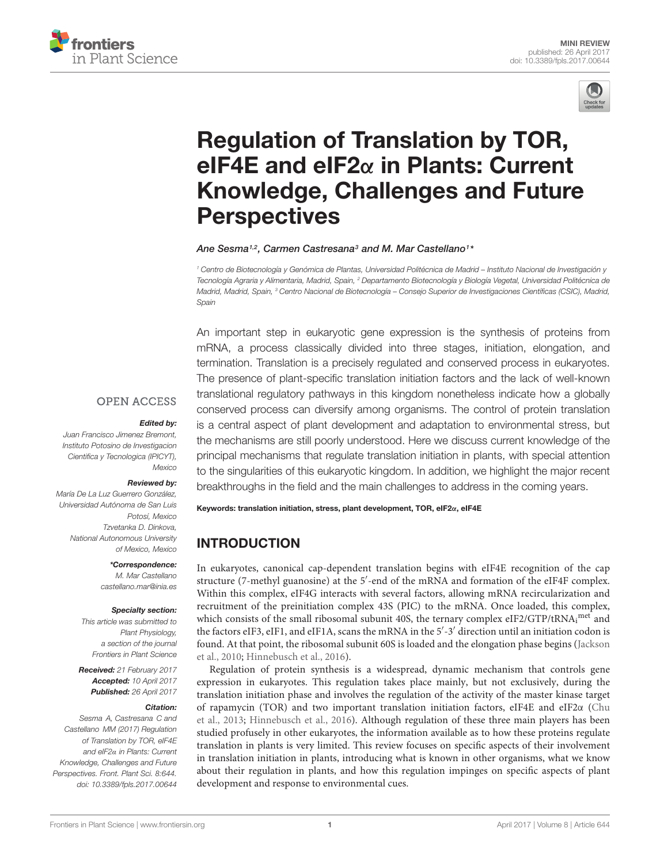



# Regulation of Translation by TOR, eIF4E and eIF2α in Plants: Current [Knowledge, Challenges and Future](http://journal.frontiersin.org/article/10.3389/fpls.2017.00644/abstract) **Perspectives**

#### [Ane Sesma](http://loop.frontiersin.org/people/313629/overview)1,2, [Carmen Castresana](http://loop.frontiersin.org/people/89863/overview)3 and [M. Mar Castellano](http://loop.frontiersin.org/people/226772/overview)1\*

<sup>1</sup> Centro de Biotecnología y Genómica de Plantas, Universidad Politécnica de Madrid – Instituto Nacional de Investigación y Tecnología Agraria y Alimentaria, Madrid, Spain, <sup>2</sup> Departamento Biotecnología y Biología Vegetal, Universidad Politécnica de Madrid, Madrid, Spain, <sup>3</sup> Centro Nacional de Biotecnología – Consejo Superior de Investigaciones Científicas (CSIC), Madrid, Spain

An important step in eukaryotic gene expression is the synthesis of proteins from mRNA, a process classically divided into three stages, initiation, elongation, and termination. Translation is a precisely regulated and conserved process in eukaryotes. The presence of plant-specific translation initiation factors and the lack of well-known translational regulatory pathways in this kingdom nonetheless indicate how a globally conserved process can diversify among organisms. The control of protein translation is a central aspect of plant development and adaptation to environmental stress, but the mechanisms are still poorly understood. Here we discuss current knowledge of the principal mechanisms that regulate translation initiation in plants, with special attention to the singularities of this eukaryotic kingdom. In addition, we highlight the major recent breakthroughs in the field and the main challenges to address in the coming years.

## Edited by:

**OPEN ACCESS** 

Juan Francisco Jimenez Bremont, Instituto Potosino de Investigacion Cientifica y Tecnologica (IPICYT), Mexico

#### Reviewed by:

María De La Luz Guerrero González, Universidad Autónoma de San Luis Potosí, Mexico Tzvetanka D. Dinkova, National Autonomous University of Mexico, Mexico

#### \*Correspondence:

M. Mar Castellano castellano.mar@inia.es

#### Specialty section:

This article was submitted to Plant Physiology, a section of the journal Frontiers in Plant Science

Received: 21 February 2017 Accepted: 10 April 2017 Published: 26 April 2017

#### Citation:

Sesma A, Castresana C and Castellano MM (2017) Regulation of Translation by TOR, eIF4E and eIF2α in Plants: Current Knowledge, Challenges and Future Perspectives. Front. Plant Sci. 8:644. doi: [10.3389/fpls.2017.00644](https://doi.org/10.3389/fpls.2017.00644)

Keywords: translation initiation, stress, plant development, TOR, eIF2α, eIF4E

# INTRODUCTION

In eukaryotes, canonical cap-dependent translation begins with eIF4E recognition of the cap structure (7-methyl guanosine) at the 5'-end of the mRNA and formation of the eIF4F complex. Within this complex, eIF4G interacts with several factors, allowing mRNA recircularization and recruitment of the preinitiation complex 43S (PIC) to the mRNA. Once loaded, this complex, which consists of the small ribosomal subunit 40S, the ternary complex eIF2/GTP/tRNA<sub>i</sub><sup>met</sup> and the factors eIF3, eIF1, and eIF1A, scans the mRNA in the 5'-3' direction until an initiation codon is found. At that point, the ribosomal subunit 60S is loaded and the elongation phase begins [\(Jackson](#page-5-0) [et al.,](#page-5-0) [2010;](#page-5-0) [Hinnebusch et al.,](#page-5-1) [2016\)](#page-5-1).

Regulation of protein synthesis is a widespread, dynamic mechanism that controls gene expression in eukaryotes. This regulation takes place mainly, but not exclusively, during the translation initiation phase and involves the regulation of the activity of the master kinase target of rapamycin (TOR) and two important translation initiation factors, eIF4E and eIF2α [\(Chu](#page-4-0) [et al.,](#page-4-0) [2013;](#page-4-0) [Hinnebusch et al.,](#page-5-1) [2016\)](#page-5-1). Although regulation of these three main players has been studied profusely in other eukaryotes, the information available as to how these proteins regulate translation in plants is very limited. This review focuses on specific aspects of their involvement in translation initiation in plants, introducing what is known in other organisms, what we know about their regulation in plants, and how this regulation impinges on specific aspects of plant development and response to environmental cues.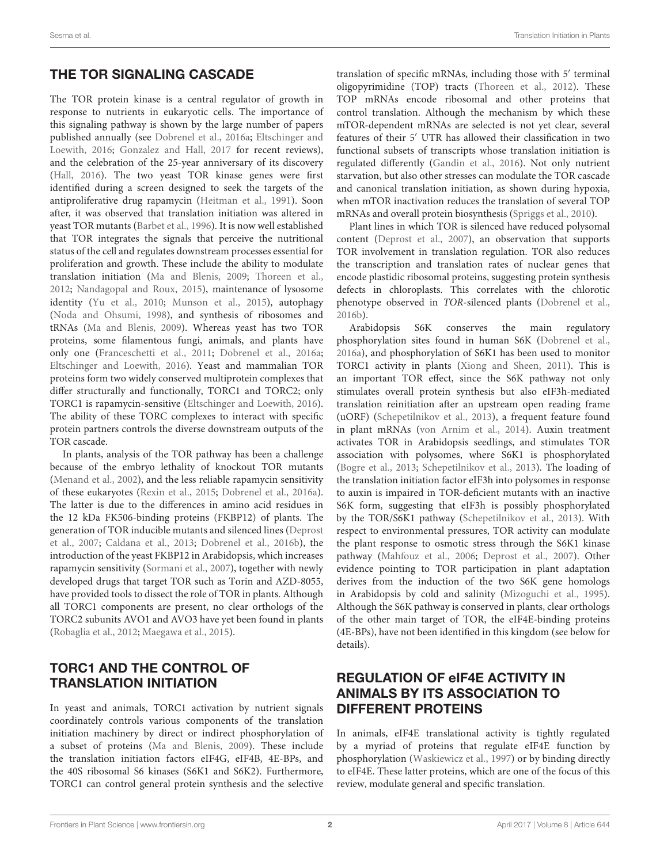#### THE TOR SIGNALING CASCADE

The TOR protein kinase is a central regulator of growth in response to nutrients in eukaryotic cells. The importance of this signaling pathway is shown by the large number of papers published annually (see [Dobrenel et al.,](#page-4-1) [2016a;](#page-4-1) [Eltschinger and](#page-5-2) [Loewith,](#page-5-2) [2016;](#page-5-2) [Gonzalez and Hall,](#page-5-3) [2017](#page-5-3) for recent reviews), and the celebration of the 25-year anniversary of its discovery [\(Hall,](#page-5-4) [2016\)](#page-5-4). The two yeast TOR kinase genes were first identified during a screen designed to seek the targets of the antiproliferative drug rapamycin [\(Heitman et al.,](#page-5-5) [1991\)](#page-5-5). Soon after, it was observed that translation initiation was altered in yeast TOR mutants [\(Barbet et al.,](#page-4-2) [1996\)](#page-4-2). It is now well established that TOR integrates the signals that perceive the nutritional status of the cell and regulates downstream processes essential for proliferation and growth. These include the ability to modulate translation initiation [\(Ma and Blenis,](#page-5-6) [2009;](#page-5-6) [Thoreen et al.,](#page-6-0) [2012;](#page-6-0) [Nandagopal and Roux,](#page-6-1) [2015\)](#page-6-1), maintenance of lysosome identity [\(Yu et al.,](#page-6-2) [2010;](#page-6-2) [Munson et al.,](#page-6-3) [2015\)](#page-6-3), autophagy [\(Noda and Ohsumi,](#page-6-4) [1998\)](#page-6-4), and synthesis of ribosomes and tRNAs [\(Ma and Blenis,](#page-5-6) [2009\)](#page-5-6). Whereas yeast has two TOR proteins, some filamentous fungi, animals, and plants have only one [\(Franceschetti et al.,](#page-5-7) [2011;](#page-5-7) [Dobrenel et al.,](#page-4-1) [2016a;](#page-4-1) [Eltschinger and Loewith,](#page-5-2) [2016\)](#page-5-2). Yeast and mammalian TOR proteins form two widely conserved multiprotein complexes that differ structurally and functionally, TORC1 and TORC2; only TORC1 is rapamycin-sensitive [\(Eltschinger and Loewith,](#page-5-2) [2016\)](#page-5-2). The ability of these TORC complexes to interact with specific protein partners controls the diverse downstream outputs of the TOR cascade.

In plants, analysis of the TOR pathway has been a challenge because of the embryo lethality of knockout TOR mutants [\(Menand et al.,](#page-5-8) [2002\)](#page-5-8), and the less reliable rapamycin sensitivity of these eukaryotes [\(Rexin et al.,](#page-6-5) [2015;](#page-6-5) [Dobrenel et al.,](#page-4-1) [2016a\)](#page-4-1). The latter is due to the differences in amino acid residues in the 12 kDa FK506-binding proteins (FKBP12) of plants. The generation of TOR inducible mutants and silenced lines [\(Deprost](#page-4-3) [et al.,](#page-4-3) [2007;](#page-4-3) [Caldana et al.,](#page-4-4) [2013;](#page-4-4) [Dobrenel et al.,](#page-4-5) [2016b\)](#page-4-5), the introduction of the yeast FKBP12 in Arabidopsis, which increases rapamycin sensitivity [\(Sormani et al.,](#page-6-6) [2007\)](#page-6-6), together with newly developed drugs that target TOR such as Torin and AZD-8055, have provided tools to dissect the role of TOR in plants. Although all TORC1 components are present, no clear orthologs of the TORC2 subunits AVO1 and AVO3 have yet been found in plants [\(Robaglia et al.,](#page-6-7) [2012;](#page-6-7) [Maegawa et al.,](#page-5-9) [2015\)](#page-5-9).

## TORC1 AND THE CONTROL OF TRANSLATION INITIATION

In yeast and animals, TORC1 activation by nutrient signals coordinately controls various components of the translation initiation machinery by direct or indirect phosphorylation of a subset of proteins [\(Ma and Blenis,](#page-5-6) [2009\)](#page-5-6). These include the translation initiation factors eIF4G, eIF4B, 4E-BPs, and the 40S ribosomal S6 kinases (S6K1 and S6K2). Furthermore, TORC1 can control general protein synthesis and the selective translation of specific mRNAs, including those with 5' terminal oligopyrimidine (TOP) tracts [\(Thoreen et al.,](#page-6-0) [2012\)](#page-6-0). These TOP mRNAs encode ribosomal and other proteins that control translation. Although the mechanism by which these mTOR-dependent mRNAs are selected is not yet clear, several features of their 5' UTR has allowed their classification in two functional subsets of transcripts whose translation initiation is regulated differently [\(Gandin et al.,](#page-5-10) [2016\)](#page-5-10). Not only nutrient starvation, but also other stresses can modulate the TOR cascade and canonical translation initiation, as shown during hypoxia, when mTOR inactivation reduces the translation of several TOP mRNAs and overall protein biosynthesis [\(Spriggs et al.,](#page-6-8) [2010\)](#page-6-8).

Plant lines in which TOR is silenced have reduced polysomal content [\(Deprost et al.,](#page-4-3) [2007\)](#page-4-3), an observation that supports TOR involvement in translation regulation. TOR also reduces the transcription and translation rates of nuclear genes that encode plastidic ribosomal proteins, suggesting protein synthesis defects in chloroplasts. This correlates with the chlorotic phenotype observed in TOR-silenced plants [\(Dobrenel et al.,](#page-4-5) [2016b\)](#page-4-5).

Arabidopsis S6K conserves the main regulatory phosphorylation sites found in human S6K [\(Dobrenel et al.,](#page-4-1) [2016a\)](#page-4-1), and phosphorylation of S6K1 has been used to monitor TORC1 activity in plants [\(Xiong and Sheen,](#page-6-9) [2011\)](#page-6-9). This is an important TOR effect, since the S6K pathway not only stimulates overall protein synthesis but also eIF3h-mediated translation reinitiation after an upstream open reading frame (uORF) [\(Schepetilnikov et al.,](#page-6-10) [2013\)](#page-6-10), a frequent feature found in plant mRNAs [\(von Arnim et al.,](#page-6-11) [2014\)](#page-6-11). Auxin treatment activates TOR in Arabidopsis seedlings, and stimulates TOR association with polysomes, where S6K1 is phosphorylated [\(Bogre et al.,](#page-4-6) [2013;](#page-4-6) [Schepetilnikov et al.,](#page-6-10) [2013\)](#page-6-10). The loading of the translation initiation factor eIF3h into polysomes in response to auxin is impaired in TOR-deficient mutants with an inactive S6K form, suggesting that eIF3h is possibly phosphorylated by the TOR/S6K1 pathway [\(Schepetilnikov et al.,](#page-6-10) [2013\)](#page-6-10). With respect to environmental pressures, TOR activity can modulate the plant response to osmotic stress through the S6K1 kinase pathway [\(Mahfouz et al.,](#page-5-11) [2006;](#page-5-11) [Deprost et al.,](#page-4-3) [2007\)](#page-4-3). Other evidence pointing to TOR participation in plant adaptation derives from the induction of the two S6K gene homologs in Arabidopsis by cold and salinity [\(Mizoguchi et al.,](#page-6-12) [1995\)](#page-6-12). Although the S6K pathway is conserved in plants, clear orthologs of the other main target of TOR, the eIF4E-binding proteins (4E-BPs), have not been identified in this kingdom (see below for details).

## REGULATION OF eIF4E ACTIVITY IN ANIMALS BY ITS ASSOCIATION TO DIFFERENT PROTEINS

In animals, eIF4E translational activity is tightly regulated by a myriad of proteins that regulate eIF4E function by phosphorylation [\(Waskiewicz et al.,](#page-6-13) [1997\)](#page-6-13) or by binding directly to eIF4E. These latter proteins, which are one of the focus of this review, modulate general and specific translation.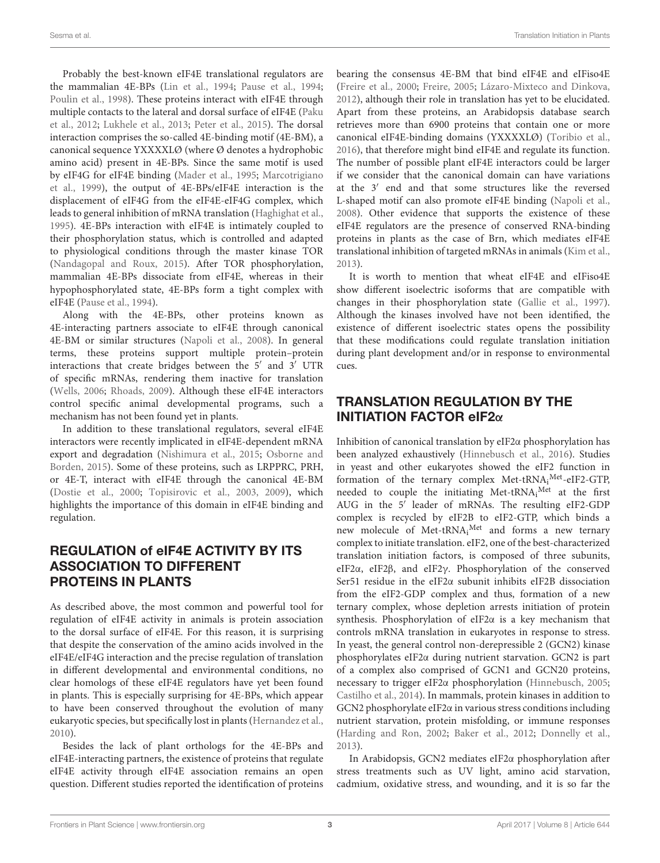Probably the best-known eIF4E translational regulators are the mammalian 4E-BPs [\(Lin et al.,](#page-5-12) [1994;](#page-5-12) [Pause et al.,](#page-6-14) [1994;](#page-6-14) [Poulin et al.,](#page-6-15) [1998\)](#page-6-15). These proteins interact with eIF4E through multiple contacts to the lateral and dorsal surface of eIF4E [\(Paku](#page-6-16) [et al.,](#page-6-16) [2012;](#page-6-16) [Lukhele et al.,](#page-5-13) [2013;](#page-5-13) [Peter et al.,](#page-6-17) [2015\)](#page-6-17). The dorsal interaction comprises the so-called 4E-binding motif (4E-BM), a canonical sequence YXXXXLØ (where Ø denotes a hydrophobic amino acid) present in 4E-BPs. Since the same motif is used by eIF4G for eIF4E binding [\(Mader et al.,](#page-5-14) [1995;](#page-5-14) [Marcotrigiano](#page-5-15) [et al.,](#page-5-15) [1999\)](#page-5-15), the output of 4E-BPs/eIF4E interaction is the displacement of eIF4G from the eIF4E-eIF4G complex, which leads to general inhibition of mRNA translation [\(Haghighat et al.,](#page-5-16) [1995\)](#page-5-16). 4E-BPs interaction with eIF4E is intimately coupled to their phosphorylation status, which is controlled and adapted to physiological conditions through the master kinase TOR [\(Nandagopal and Roux,](#page-6-1) [2015\)](#page-6-1). After TOR phosphorylation, mammalian 4E-BPs dissociate from eIF4E, whereas in their hypophosphorylated state, 4E-BPs form a tight complex with eIF4E [\(Pause et al.,](#page-6-14) [1994\)](#page-6-14).

Along with the 4E-BPs, other proteins known as 4E-interacting partners associate to eIF4E through canonical 4E-BM or similar structures [\(Napoli et al.,](#page-6-18) [2008\)](#page-6-18). In general terms, these proteins support multiple protein–protein interactions that create bridges between the  $5'$  and  $3'$  UTR of specific mRNAs, rendering them inactive for translation [\(Wells,](#page-6-19) [2006;](#page-6-19) [Rhoads,](#page-6-20) [2009\)](#page-6-20). Although these eIF4E interactors control specific animal developmental programs, such a mechanism has not been found yet in plants.

In addition to these translational regulators, several eIF4E interactors were recently implicated in eIF4E-dependent mRNA export and degradation [\(Nishimura et al.,](#page-6-21) [2015;](#page-6-21) [Osborne and](#page-6-22) [Borden,](#page-6-22) [2015\)](#page-6-22). Some of these proteins, such as LRPPRC, PRH, or 4E-T, interact with eIF4E through the canonical 4E-BM [\(Dostie et al.,](#page-4-7) [2000;](#page-4-7) [Topisirovic et al.,](#page-6-23) [2003,](#page-6-23) [2009\)](#page-6-24), which highlights the importance of this domain in eIF4E binding and regulation.

#### REGULATION of eIF4E ACTIVITY BY ITS ASSOCIATION TO DIFFERENT PROTEINS IN PLANTS

As described above, the most common and powerful tool for regulation of eIF4E activity in animals is protein association to the dorsal surface of eIF4E. For this reason, it is surprising that despite the conservation of the amino acids involved in the eIF4E/eIF4G interaction and the precise regulation of translation in different developmental and environmental conditions, no clear homologs of these eIF4E regulators have yet been found in plants. This is especially surprising for 4E-BPs, which appear to have been conserved throughout the evolution of many eukaryotic species, but specifically lost in plants [\(Hernandez et al.,](#page-5-17) [2010\)](#page-5-17).

Besides the lack of plant orthologs for the 4E-BPs and eIF4E-interacting partners, the existence of proteins that regulate eIF4E activity through eIF4E association remains an open question. Different studies reported the identification of proteins

bearing the consensus 4E-BM that bind eIF4E and eIFiso4E [\(Freire et al.,](#page-5-18) [2000;](#page-5-18) [Freire,](#page-5-19) [2005;](#page-5-19) [Lázaro-Mixteco and Dinkova,](#page-5-20) [2012\)](#page-5-20), although their role in translation has yet to be elucidated. Apart from these proteins, an Arabidopsis database search retrieves more than 6900 proteins that contain one or more canonical eIF4E-binding domains (YXXXXLØ) [\(Toribio et al.,](#page-6-25) [2016\)](#page-6-25), that therefore might bind eIF4E and regulate its function. The number of possible plant eIF4E interactors could be larger if we consider that the canonical domain can have variations at the  $3'$  end and that some structures like the reversed L-shaped motif can also promote eIF4E binding [\(Napoli et al.,](#page-6-18) [2008\)](#page-6-18). Other evidence that supports the existence of these eIF4E regulators are the presence of conserved RNA-binding proteins in plants as the case of Brn, which mediates eIF4E translational inhibition of targeted mRNAs in animals [\(Kim et al.,](#page-5-21) [2013\)](#page-5-21).

It is worth to mention that wheat eIF4E and eIFiso4E show different isoelectric isoforms that are compatible with changes in their phosphorylation state [\(Gallie et al.,](#page-5-22) [1997\)](#page-5-22). Although the kinases involved have not been identified, the existence of different isoelectric states opens the possibility that these modifications could regulate translation initiation during plant development and/or in response to environmental cues.

#### TRANSLATION REGULATION BY THE INITIATION FACTOR eIF2α

Inhibition of canonical translation by eIF2α phosphorylation has been analyzed exhaustively [\(Hinnebusch et al.,](#page-5-1) [2016\)](#page-5-1). Studies in yeast and other eukaryotes showed the eIF2 function in formation of the ternary complex Met-tRNA<sub>i</sub><sup>Met</sup>-eIF2-GTP, needed to couple the initiating Met-tRNA<sub>i</sub><sup>Met</sup> at the first AUG in the 5<sup>'</sup> leader of mRNAs. The resulting eIF2-GDP complex is recycled by eIF2B to eIF2-GTP, which binds a new molecule of Met-tRNA<sub>i</sub><sup>Met</sup> and forms a new ternary complex to initiate translation. eIF2, one of the best-characterized translation initiation factors, is composed of three subunits, eIF2α, eIF2β, and eIF2γ. Phosphorylation of the conserved Ser51 residue in the eIF2α subunit inhibits eIF2B dissociation from the eIF2-GDP complex and thus, formation of a new ternary complex, whose depletion arrests initiation of protein synthesis. Phosphorylation of eIF2α is a key mechanism that controls mRNA translation in eukaryotes in response to stress. In yeast, the general control non-derepressible 2 (GCN2) kinase phosphorylates eIF2α during nutrient starvation. GCN2 is part of a complex also comprised of GCN1 and GCN20 proteins, necessary to trigger eIF2α phosphorylation [\(Hinnebusch,](#page-5-23) [2005;](#page-5-23) [Castilho et al.,](#page-4-8) [2014\)](#page-4-8). In mammals, protein kinases in addition to GCN2 phosphorylate eIF2α in various stress conditions including nutrient starvation, protein misfolding, or immune responses [\(Harding and Ron,](#page-5-24) [2002;](#page-5-24) [Baker et al.,](#page-4-9) [2012;](#page-4-9) [Donnelly et al.,](#page-4-10) [2013\)](#page-4-10).

In Arabidopsis, GCN2 mediates eIF2α phosphorylation after stress treatments such as UV light, amino acid starvation, cadmium, oxidative stress, and wounding, and it is so far the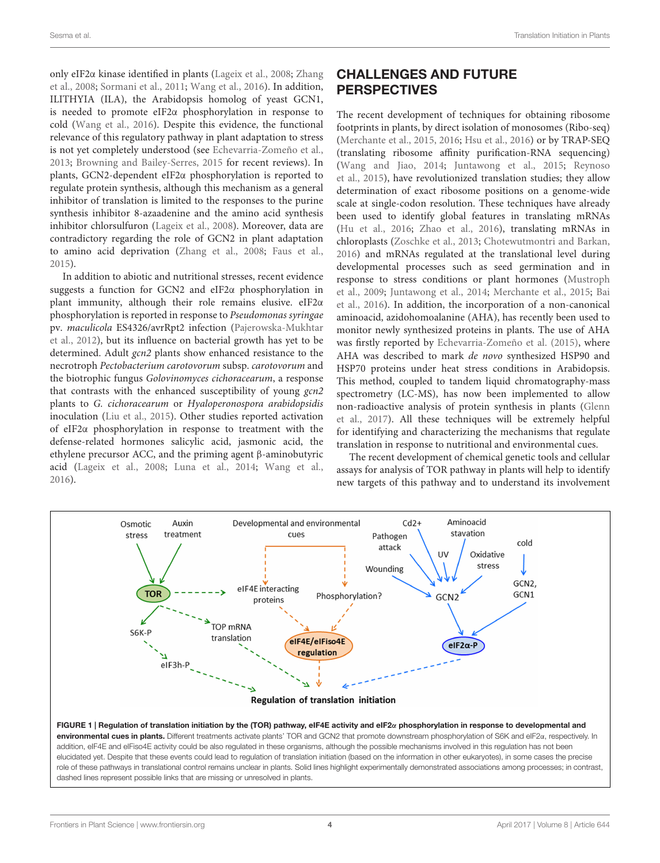only eIF2α kinase identified in plants [\(Lageix et al.,](#page-5-25) [2008;](#page-5-25) [Zhang](#page-6-26) [et al.,](#page-6-26) [2008;](#page-6-26) [Sormani et al.,](#page-6-27) [2011;](#page-6-27) [Wang et al.,](#page-6-28) [2016\)](#page-6-28). In addition, ILITHYIA (ILA), the Arabidopsis homolog of yeast GCN1, is needed to promote eIF2α phosphorylation in response to cold [\(Wang et al.,](#page-6-28) [2016\)](#page-6-28). Despite this evidence, the functional relevance of this regulatory pathway in plant adaptation to stress is not yet completely understood (see [Echevarria-Zomeño et al.,](#page-5-26) [2013;](#page-5-26) [Browning and Bailey-Serres,](#page-4-11) [2015](#page-4-11) for recent reviews). In plants, GCN2-dependent eIF2α phosphorylation is reported to regulate protein synthesis, although this mechanism as a general inhibitor of translation is limited to the responses to the purine synthesis inhibitor 8-azaadenine and the amino acid synthesis inhibitor chlorsulfuron [\(Lageix et al.,](#page-5-25) [2008\)](#page-5-25). Moreover, data are contradictory regarding the role of GCN2 in plant adaptation to amino acid deprivation [\(Zhang et al.,](#page-6-26) [2008;](#page-6-26) [Faus et al.,](#page-5-27) [2015\)](#page-5-27).

In addition to abiotic and nutritional stresses, recent evidence suggests a function for GCN2 and eIF2α phosphorylation in plant immunity, although their role remains elusive. eIF2α phosphorylation is reported in response to Pseudomonas syringae pv. maculicola ES4326/avrRpt2 infection [\(Pajerowska-Mukhtar](#page-6-29) [et al.,](#page-6-29) [2012\)](#page-6-29), but its influence on bacterial growth has yet to be determined. Adult gcn2 plants show enhanced resistance to the necrotroph Pectobacterium carotovorum subsp. carotovorum and the biotrophic fungus Golovinomyces cichoracearum, a response that contrasts with the enhanced susceptibility of young gcn2 plants to G. cichoracearum or Hyaloperonospora arabidopsidis inoculation [\(Liu et al.,](#page-5-28) [2015\)](#page-5-28). Other studies reported activation of eIF2α phosphorylation in response to treatment with the defense-related hormones salicylic acid, jasmonic acid, the ethylene precursor ACC, and the priming agent β-aminobutyric acid [\(Lageix et al.,](#page-5-25) [2008;](#page-5-25) [Luna et al.,](#page-5-29) [2014;](#page-5-29) [Wang et al.,](#page-6-28) [2016\)](#page-6-28).

## CHALLENGES AND FUTURE PERSPECTIVES

The recent development of techniques for obtaining ribosome footprints in plants, by direct isolation of monosomes (Ribo-seq) [\(Merchante et al.,](#page-5-30) [2015,](#page-5-30) [2016;](#page-5-31) [Hsu et al.,](#page-5-32) [2016\)](#page-5-32) or by TRAP-SEQ (translating ribosome affinity purification-RNA sequencing) [\(Wang and Jiao,](#page-6-30) [2014;](#page-6-30) [Juntawong et al.,](#page-5-33) [2015;](#page-5-33) [Reynoso](#page-6-31) [et al.,](#page-6-31) [2015\)](#page-6-31), have revolutionized translation studies; they allow determination of exact ribosome positions on a genome-wide scale at single-codon resolution. These techniques have already been used to identify global features in translating mRNAs [\(Hu et al.,](#page-5-34) [2016;](#page-5-34) [Zhao et al.,](#page-6-32) [2016\)](#page-6-32), translating mRNAs in chloroplasts [\(Zoschke et al.,](#page-6-33) [2013;](#page-6-33) [Chotewutmontri and Barkan,](#page-4-12) [2016\)](#page-4-12) and mRNAs regulated at the translational level during developmental processes such as seed germination and in response to stress conditions or plant hormones [\(Mustroph](#page-6-34) [et al.,](#page-6-34) [2009;](#page-6-34) [Juntawong et al.,](#page-5-35) [2014;](#page-5-35) [Merchante et al.,](#page-5-30) [2015;](#page-5-30) [Bai](#page-4-13) [et al.,](#page-4-13) [2016\)](#page-4-13). In addition, the incorporation of a non-canonical aminoacid, azidohomoalanine (AHA), has recently been used to monitor newly synthesized proteins in plants. The use of AHA was firstly reported by [Echevarria-Zomeño et al.](#page-5-36) [\(2015\)](#page-5-36), where AHA was described to mark de novo synthesized HSP90 and HSP70 proteins under heat stress conditions in Arabidopsis. This method, coupled to tandem liquid chromatography-mass spectrometry (LC-MS), has now been implemented to allow non-radioactive analysis of protein synthesis in plants [\(Glenn](#page-5-37) [et al.,](#page-5-37) [2017\)](#page-5-37). All these techniques will be extremely helpful for identifying and characterizing the mechanisms that regulate translation in response to nutritional and environmental cues.

The recent development of chemical genetic tools and cellular assays for analysis of TOR pathway in plants will help to identify new targets of this pathway and to understand its involvement

<span id="page-3-0"></span>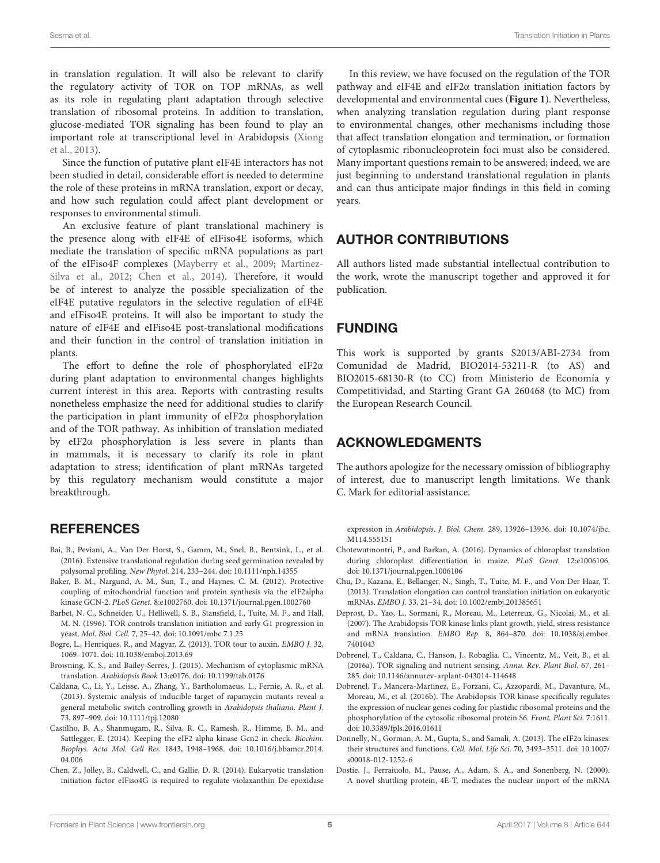in translation regulation. It will also be relevant to clarify the regulatory activity of TOR on TOP mRNAs, as well as its role in regulating plant adaptation through selective translation of ribosomal proteins. In addition to translation, glucose-mediated TOR signaling has been found to play an important role at transcriptional level in Arabidopsis [\(Xiong](#page-6-35) [et al.,](#page-6-35) [2013\)](#page-6-35).

Since the function of putative plant eIF4E interactors has not been studied in detail, considerable effort is needed to determine the role of these proteins in mRNA translation, export or decay, and how such regulation could affect plant development or responses to environmental stimuli.

An exclusive feature of plant translational machinery is the presence along with eIF4E of eIFiso4E isoforms, which mediate the translation of specific mRNA populations as part of the eIFiso4F complexes [\(Mayberry et al.,](#page-5-38) [2009;](#page-5-38) [Martinez-](#page-5-39)[Silva et al.,](#page-5-39) [2012;](#page-5-39) [Chen et al.,](#page-4-14) [2014\)](#page-4-14). Therefore, it would be of interest to analyze the possible specialization of the eIF4E putative regulators in the selective regulation of eIF4E and eIFiso4E proteins. It will also be important to study the nature of eIF4E and eIFiso4E post-translational modifications and their function in the control of translation initiation in plants.

The effort to define the role of phosphorylated eIF2α during plant adaptation to environmental changes highlights current interest in this area. Reports with contrasting results nonetheless emphasize the need for additional studies to clarify the participation in plant immunity of eIF2α phosphorylation and of the TOR pathway. As inhibition of translation mediated by eIF2α phosphorylation is less severe in plants than in mammals, it is necessary to clarify its role in plant adaptation to stress; identification of plant mRNAs targeted by this regulatory mechanism would constitute a major breakthrough.

#### **REFERENCES**

- <span id="page-4-13"></span>Bai, B., Peviani, A., Van Der Horst, S., Gamm, M., Snel, B., Bentsink, L., et al. (2016). Extensive translational regulation during seed germination revealed by polysomal profiling. New Phytol. 214, 233–244. [doi: 10.1111/nph.14355](https://doi.org/10.1111/nph.14355)
- <span id="page-4-9"></span>Baker, B. M., Nargund, A. M., Sun, T., and Haynes, C. M. (2012). Protective coupling of mitochondrial function and protein synthesis via the eIF2alpha kinase GCN-2. PLoS Genet. 8:e1002760. [doi: 10.1371/journal.pgen.1002760](https://doi.org/10.1371/journal.pgen.1002760)
- <span id="page-4-2"></span>Barbet, N. C., Schneider, U., Helliwell, S. B., Stansfield, I., Tuite, M. F., and Hall, M. N. (1996). TOR controls translation initiation and early G1 progression in yeast. Mol. Biol. Cell. 7, 25–42. [doi: 10.1091/mbc.7.1.25](https://doi.org/10.1091/mbc.7.1.25)
- <span id="page-4-6"></span>Bogre, L., Henriques, R., and Magyar, Z. (2013). TOR tour to auxin. EMBO J. 32, 1069–1071. [doi: 10.1038/emboj.2013.69](https://doi.org/10.1038/emboj.2013.69)
- <span id="page-4-11"></span>Browning, K. S., and Bailey-Serres, J. (2015). Mechanism of cytoplasmic mRNA translation. Arabidopsis Book 13:e0176. [doi: 10.1199/tab.0176](https://doi.org/10.1199/tab.0176)
- <span id="page-4-4"></span>Caldana, C., Li, Y., Leisse, A., Zhang, Y., Bartholomaeus, L., Fernie, A. R., et al. (2013). Systemic analysis of inducible target of rapamycin mutants reveal a general metabolic switch controlling growth in Arabidopsis thaliana. Plant J. 73, 897–909. [doi: 10.1111/tpj.12080](https://doi.org/10.1111/tpj.12080)
- <span id="page-4-8"></span>Castilho, B. A., Shanmugam, R., Silva, R. C., Ramesh, R., Himme, B. M., and Sattlegger, E. (2014). Keeping the eIF2 alpha kinase Gcn2 in check. Biochim. Biophys. Acta Mol. Cell Res. 1843, 1948–1968. [doi: 10.1016/j.bbamcr.2014.](https://doi.org/10.1016/j.bbamcr.2014.04.006) [04.006](https://doi.org/10.1016/j.bbamcr.2014.04.006)
- <span id="page-4-14"></span>Chen, Z., Jolley, B., Caldwell, C., and Gallie, D. R. (2014). Eukaryotic translation initiation factor eIFiso4G is required to regulate violaxanthin De-epoxidase

In this review, we have focused on the regulation of the TOR pathway and eIF4E and eIF2α translation initiation factors by developmental and environmental cues (**[Figure 1](#page-3-0)**). Nevertheless, when analyzing translation regulation during plant response to environmental changes, other mechanisms including those that affect translation elongation and termination, or formation of cytoplasmic ribonucleoprotein foci must also be considered. Many important questions remain to be answered; indeed, we are just beginning to understand translational regulation in plants and can thus anticipate major findings in this field in coming years.

#### AUTHOR CONTRIBUTIONS

All authors listed made substantial intellectual contribution to the work, wrote the manuscript together and approved it for publication.

#### FUNDING

This work is supported by grants S2013/ABI-2734 from Comunidad de Madrid, BIO2014-53211-R (to AS) and BIO2015-68130-R (to CC) from Ministerio de Economía y Competitividad, and Starting Grant GA 260468 (to MC) from the European Research Council.

#### ACKNOWLEDGMENTS

The authors apologize for the necessary omission of bibliography of interest, due to manuscript length limitations. We thank C. Mark for editorial assistance.

expression in Arabidopsis. J. Biol. Chem. 289, 13926–13936. [doi: 10.1074/jbc.](https://doi.org/10.1074/jbc.M114.555151) [M114.555151](https://doi.org/10.1074/jbc.M114.555151)

- <span id="page-4-12"></span>Chotewutmontri, P., and Barkan, A. (2016). Dynamics of chloroplast translation during chloroplast differentiation in maize. PLoS Genet. 12:e1006106. [doi: 10.1371/journal.pgen.1006106](https://doi.org/10.1371/journal.pgen.1006106)
- <span id="page-4-0"></span>Chu, D., Kazana, E., Bellanger, N., Singh, T., Tuite, M. F., and Von Der Haar, T. (2013). Translation elongation can control translation initiation on eukaryotic mRNAs. EMBO J. 33, 21–34. [doi: 10.1002/embj.201385651](https://doi.org/10.1002/embj.201385651)
- <span id="page-4-3"></span>Deprost, D., Yao, L., Sormani, R., Moreau, M., Leterreux, G., Nicolai, M., et al. (2007). The Arabidopsis TOR kinase links plant growth, yield, stress resistance and mRNA translation. EMBO Rep. 8, 864–870. [doi: 10.1038/sj.embor.](https://doi.org/10.1038/sj.embor.7401043) [7401043](https://doi.org/10.1038/sj.embor.7401043)
- <span id="page-4-1"></span>Dobrenel, T., Caldana, C., Hanson, J., Robaglia, C., Vincentz, M., Veit, B., et al. (2016a). TOR signaling and nutrient sensing. Annu. Rev. Plant Biol. 67, 261– 285. [doi: 10.1146/annurev-arplant-043014-114648](https://doi.org/10.1146/annurev-arplant-043014-114648)
- <span id="page-4-5"></span>Dobrenel, T., Mancera-Martinez, E., Forzani, C., Azzopardi, M., Davanture, M., Moreau, M., et al. (2016b). The Arabidopsis TOR kinase specifically regulates the expression of nuclear genes coding for plastidic ribosomal proteins and the phosphorylation of the cytosolic ribosomal protein S6. Front. Plant Sci. 7:1611. [doi: 10.3389/fpls.2016.01611](https://doi.org/10.3389/fpls.2016.01611)
- <span id="page-4-10"></span>Donnelly, N., Gorman, A. M., Gupta, S., and Samali, A. (2013). The eIF2α kinases: their structures and functions. Cell. Mol. Life Sci. 70, 3493–3511. [doi: 10.1007/](https://doi.org/10.1007/s00018-012-1252-6) [s00018-012-1252-6](https://doi.org/10.1007/s00018-012-1252-6)
- <span id="page-4-7"></span>Dostie, J., Ferraiuolo, M., Pause, A., Adam, S. A., and Sonenberg, N. (2000). A novel shuttling protein, 4E-T, mediates the nuclear import of the mRNA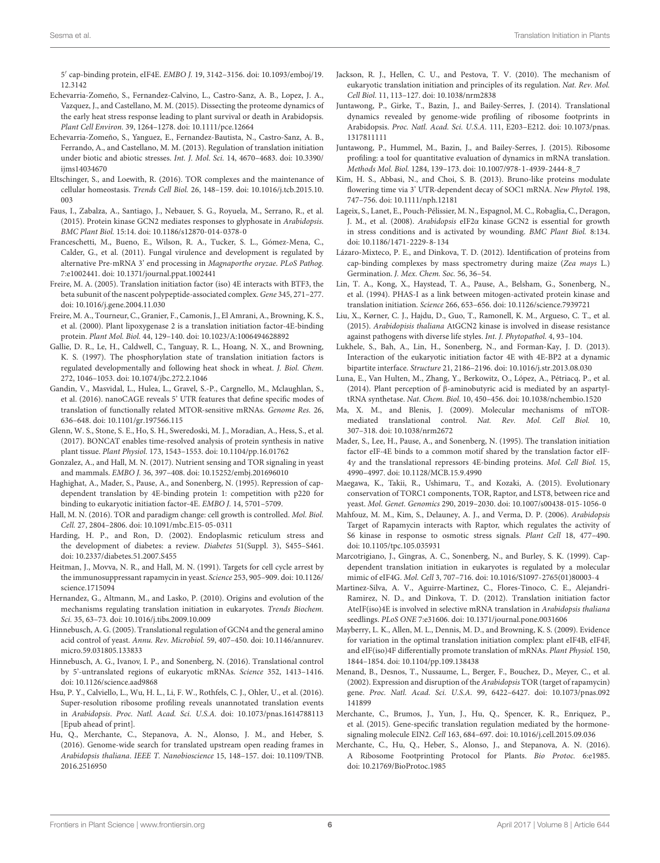5 0 cap-binding protein, eIF4E. EMBO J. 19, 3142–3156. [doi: 10.1093/emboj/19.](https://doi.org/10.1093/emboj/19.12.3142) [12.3142](https://doi.org/10.1093/emboj/19.12.3142)

- <span id="page-5-36"></span>Echevarria-Zomeño, S., Fernandez-Calvino, L., Castro-Sanz, A. B., Lopez, J. A., Vazquez, J., and Castellano, M. M. (2015). Dissecting the proteome dynamics of the early heat stress response leading to plant survival or death in Arabidopsis. Plant Cell Environ. 39, 1264–1278. [doi: 10.1111/pce.12664](https://doi.org/10.1111/pce.12664)
- <span id="page-5-26"></span>Echevarria-Zomeño, S., Yanguez, E., Fernandez-Bautista, N., Castro-Sanz, A. B., Ferrando, A., and Castellano, M. M. (2013). Regulation of translation initiation under biotic and abiotic stresses. Int. J. Mol. Sci. 14, 4670–4683. [doi: 10.3390/](https://doi.org/10.3390/ijms14034670) [ijms14034670](https://doi.org/10.3390/ijms14034670)
- <span id="page-5-2"></span>Eltschinger, S., and Loewith, R. (2016). TOR complexes and the maintenance of cellular homeostasis. Trends Cell Biol. 26, 148–159. [doi: 10.1016/j.tcb.2015.10.](https://doi.org/10.1016/j.tcb.2015.10.003) [003](https://doi.org/10.1016/j.tcb.2015.10.003)
- <span id="page-5-27"></span>Faus, I., Zabalza, A., Santiago, J., Nebauer, S. G., Royuela, M., Serrano, R., et al. (2015). Protein kinase GCN2 mediates responses to glyphosate in Arabidopsis. BMC Plant Biol. 15:14. [doi: 10.1186/s12870-014-0378-0](https://doi.org/10.1186/s12870-014-0378-0)
- <span id="page-5-7"></span>Franceschetti, M., Bueno, E., Wilson, R. A., Tucker, S. L., Gómez-Mena, C., Calder, G., et al. (2011). Fungal virulence and development is regulated by alternative Pre-mRNA 3' end processing in Magnaporthe oryzae. PLoS Pathog. 7:e1002441. [doi: 10.1371/journal.ppat.1002441](https://doi.org/10.1371/journal.ppat.1002441)
- <span id="page-5-19"></span>Freire, M. A. (2005). Translation initiation factor (iso) 4E interacts with BTF3, the beta subunit of the nascent polypeptide-associated complex. Gene 345, 271–277. [doi: 10.1016/j.gene.2004.11.030](https://doi.org/10.1016/j.gene.2004.11.030)
- <span id="page-5-18"></span>Freire, M. A., Tourneur, C., Granier, F., Camonis, J., El Amrani, A., Browning, K. S., et al. (2000). Plant lipoxygenase 2 is a translation initiation factor-4E-binding protein. Plant Mol. Biol. 44, 129–140. [doi: 10.1023/A:1006494628892](https://doi.org/10.1023/A:1006494628892)
- <span id="page-5-22"></span>Gallie, D. R., Le, H., Caldwell, C., Tanguay, R. L., Hoang, N. X., and Browning, K. S. (1997). The phosphorylation state of translation initiation factors is regulated developmentally and following heat shock in wheat. J. Biol. Chem. 272, 1046–1053. [doi: 10.1074/jbc.272.2.1046](https://doi.org/10.1074/jbc.272.2.1046)
- <span id="page-5-10"></span>Gandin, V., Masvidal, L., Hulea, L., Gravel, S.-P., Cargnello, M., Mclaughlan, S., et al. (2016). nanoCAGE reveals 5' UTR features that define specific modes of translation of functionally related MTOR-sensitive mRNAs. Genome Res. 26, 636–648. [doi: 10.1101/gr.197566.115](https://doi.org/10.1101/gr.197566.115)
- <span id="page-5-37"></span>Glenn, W. S., Stone, S. E., Ho, S. H., Sweredoski, M. J., Moradian, A., Hess, S., et al. (2017). BONCAT enables time-resolved analysis of protein synthesis in native plant tissue. Plant Physiol. 173, 1543–1553. [doi: 10.1104/pp.16.01762](https://doi.org/10.1104/pp.16.01762)
- <span id="page-5-3"></span>Gonzalez, A., and Hall, M. N. (2017). Nutrient sensing and TOR signaling in yeast and mammals. EMBO J. 36, 397–408. [doi: 10.15252/embj.201696010](https://doi.org/10.15252/embj.201696010)
- <span id="page-5-16"></span>Haghighat, A., Mader, S., Pause, A., and Sonenberg, N. (1995). Repression of capdependent translation by 4E-binding protein 1: competition with p220 for binding to eukaryotic initiation factor-4E. EMBO J. 14, 5701–5709.
- <span id="page-5-4"></span>Hall, M. N. (2016). TOR and paradigm change: cell growth is controlled. Mol. Biol. Cell. 27, 2804–2806. [doi: 10.1091/mbc.E15-05-0311](https://doi.org/10.1091/mbc.E15-05-0311)
- <span id="page-5-24"></span>Harding, H. P., and Ron, D. (2002). Endoplasmic reticulum stress and the development of diabetes: a review. Diabetes 51(Suppl. 3), S455–S461. [doi: 10.2337/diabetes.51.2007.S455](https://doi.org/10.2337/diabetes.51.2007.S455)
- <span id="page-5-5"></span>Heitman, J., Movva, N. R., and Hall, M. N. (1991). Targets for cell cycle arrest by the immunosuppressant rapamycin in yeast. Science 253, 905–909. [doi: 10.1126/](https://doi.org/10.1126/science.1715094) [science.1715094](https://doi.org/10.1126/science.1715094)
- <span id="page-5-17"></span>Hernandez, G., Altmann, M., and Lasko, P. (2010). Origins and evolution of the mechanisms regulating translation initiation in eukaryotes. Trends Biochem. Sci. 35, 63–73. [doi: 10.1016/j.tibs.2009.10.009](https://doi.org/10.1016/j.tibs.2009.10.009)
- <span id="page-5-23"></span>Hinnebusch, A. G. (2005). Translational regulation of GCN4 and the general amino acid control of yeast. Annu. Rev. Microbiol. 59, 407–450. [doi: 10.1146/annurev.](https://doi.org/10.1146/annurev.micro.59.031805.133833) [micro.59.031805.133833](https://doi.org/10.1146/annurev.micro.59.031805.133833)
- <span id="page-5-1"></span>Hinnebusch, A. G., Ivanov, I. P., and Sonenberg, N. (2016). Translational control by 5'-untranslated regions of eukaryotic mRNAs. Science 352, 1413–1416. [doi: 10.1126/science.aad9868](https://doi.org/10.1126/science.aad9868)
- <span id="page-5-32"></span>Hsu, P. Y., Calviello, L., Wu, H. L., Li, F. W., Rothfels, C. J., Ohler, U., et al. (2016). Super-resolution ribosome profiling reveals unannotated translation events in Arabidopsis. Proc. Natl. Acad. Sci. U.S.A. [doi: 10.1073/pnas.1614788113](https://doi.org/10.1073/pnas.1614788113) [Epub ahead of print].
- <span id="page-5-34"></span>Hu, Q., Merchante, C., Stepanova, A. N., Alonso, J. M., and Heber, S. (2016). Genome-wide search for translated upstream open reading frames in Arabidopsis thaliana. IEEE T. Nanobioscience 15, 148–157. [doi: 10.1109/TNB.](https://doi.org/10.1109/TNB.2016.2516950) [2016.2516950](https://doi.org/10.1109/TNB.2016.2516950)
- <span id="page-5-0"></span>Jackson, R. J., Hellen, C. U., and Pestova, T. V. (2010). The mechanism of eukaryotic translation initiation and principles of its regulation. Nat. Rev. Mol. Cell Biol. 11, 113–127. [doi: 10.1038/nrm2838](https://doi.org/10.1038/nrm2838)
- <span id="page-5-35"></span>Juntawong, P., Girke, T., Bazin, J., and Bailey-Serres, J. (2014). Translational dynamics revealed by genome-wide profiling of ribosome footprints in Arabidopsis. Proc. Natl. Acad. Sci. U.S.A. 111, E203–E212. [doi: 10.1073/pnas.](https://doi.org/10.1073/pnas.1317811111) [1317811111](https://doi.org/10.1073/pnas.1317811111)
- <span id="page-5-33"></span>Juntawong, P., Hummel, M., Bazin, J., and Bailey-Serres, J. (2015). Ribosome profiling: a tool for quantitative evaluation of dynamics in mRNA translation. Methods Mol. Biol. 1284, 139–173. [doi: 10.1007/978-1-4939-2444-8\\_7](https://doi.org/10.1007/978-1-4939-2444-8_7)
- <span id="page-5-21"></span>Kim, H. S., Abbasi, N., and Choi, S. B. (2013). Bruno-like proteins modulate flowering time via 3' UTR-dependent decay of SOC1 mRNA. New Phytol. 198, 747–756. [doi: 10.1111/nph.12181](https://doi.org/10.1111/nph.12181)
- <span id="page-5-25"></span>Lageix, S., Lanet, E., Pouch-Pélissier, M. N., Espagnol, M. C., Robaglia, C., Deragon, J. M., et al. (2008). Arabidopsis eIF2α kinase GCN2 is essential for growth in stress conditions and is activated by wounding. BMC Plant Biol. 8:134. [doi: 10.1186/1471-2229-8-134](https://doi.org/10.1186/1471-2229-8-134)
- <span id="page-5-20"></span>Lázaro-Mixteco, P. E., and Dinkova, T. D. (2012). Identification of proteins from cap-binding complexes by mass spectrometry during maize (Zea mays L.) Germination. J. Mex. Chem. Soc. 56, 36–54.
- <span id="page-5-12"></span>Lin, T. A., Kong, X., Haystead, T. A., Pause, A., Belsham, G., Sonenberg, N., et al. (1994). PHAS-I as a link between mitogen-activated protein kinase and translation initiation. Science 266, 653–656. [doi: 10.1126/science.7939721](https://doi.org/10.1126/science.7939721)
- <span id="page-5-28"></span>Liu, X., Kørner, C. J., Hajdu, D., Guo, T., Ramonell, K. M., Argueso, C. T., et al. (2015). Arabidopisis thaliana AtGCN2 kinase is involved in disease resistance against pathogens with diverse life styles. Int. J. Phytopathol. 4, 93–104.
- <span id="page-5-13"></span>Lukhele, S., Bah, A., Lin, H., Sonenberg, N., and Forman-Kay, J. D. (2013). Interaction of the eukaryotic initiation factor 4E with 4E-BP2 at a dynamic bipartite interface. Structure 21, 2186–2196. [doi: 10.1016/j.str.2013.08.030](https://doi.org/10.1016/j.str.2013.08.030)
- <span id="page-5-29"></span>Luna, E., Van Hulten, M., Zhang, Y., Berkowitz, O., López, A., Pétriacq, P., et al. (2014). Plant perception of β-aminobutyric acid is mediated by an aspartyltRNA synthetase. Nat. Chem. Biol. 10, 450–456. [doi: 10.1038/nchembio.1520](https://doi.org/10.1038/nchembio.1520)
- <span id="page-5-6"></span>Ma, X. M., and Blenis, J. (2009). Molecular mechanisms of mTORmediated translational control. Nat. Rev. Mol. Cell Biol. 10, 307–318. [doi: 10.1038/nrm2672](https://doi.org/10.1038/nrm2672)
- <span id="page-5-14"></span>Mader, S., Lee, H., Pause, A., and Sonenberg, N. (1995). The translation initiation factor eIF-4E binds to a common motif shared by the translation factor eIF-4γ and the translational repressors 4E-binding proteins. Mol. Cell Biol. 15, 4990–4997. [doi: 10.1128/MCB.15.9.4990](https://doi.org/10.1128/MCB.15.9.4990)
- <span id="page-5-9"></span>Maegawa, K., Takii, R., Ushimaru, T., and Kozaki, A. (2015). Evolutionary conservation of TORC1 components, TOR, Raptor, and LST8, between rice and yeast. Mol. Genet. Genomics 290, 2019–2030. [doi: 10.1007/s00438-015-1056-0](https://doi.org/10.1007/s00438-015-1056-0)
- <span id="page-5-11"></span>Mahfouz, M. M., Kim, S., Delauney, A. J., and Verma, D. P. (2006). Arabidopsis Target of Rapamycin interacts with Raptor, which regulates the activity of S6 kinase in response to osmotic stress signals. Plant Cell 18, 477–490. [doi: 10.1105/tpc.105.035931](https://doi.org/10.1105/tpc.105.035931)
- <span id="page-5-15"></span>Marcotrigiano, J., Gingras, A. C., Sonenberg, N., and Burley, S. K. (1999). Capdependent translation initiation in eukaryotes is regulated by a molecular mimic of eIF4G. Mol. Cell 3, 707–716. [doi: 10.1016/S1097-2765\(01\)80003-4](https://doi.org/10.1016/S1097-2765(01)80003-4)
- <span id="page-5-39"></span>Martinez-Silva, A. V., Aguirre-Martinez, C., Flores-Tinoco, C. E., Alejandri-Ramirez, N. D., and Dinkova, T. D. (2012). Translation initiation factor AteIF(iso)4E is involved in selective mRNA translation in Arabidopsis thaliana seedlings. PLoS ONE 7:e31606. [doi: 10.1371/journal.pone.0031606](https://doi.org/10.1371/journal.pone.0031606)
- <span id="page-5-38"></span>Mayberry, L. K., Allen, M. L., Dennis, M. D., and Browning, K. S. (2009). Evidence for variation in the optimal translation initiation complex: plant eIF4B, eIF4F, and eIF(iso)4F differentially promote translation of mRNAs. Plant Physiol. 150, 1844–1854. [doi: 10.1104/pp.109.138438](https://doi.org/10.1104/pp.109.138438)
- <span id="page-5-8"></span>Menand, B., Desnos, T., Nussaume, L., Berger, F., Bouchez, D., Meyer, C., et al. (2002). Expression and disruption of the Arabidopsis TOR (target of rapamycin) gene. Proc. Natl. Acad. Sci. U.S.A. 99, 6422–6427. [doi: 10.1073/pnas.092](https://doi.org/10.1073/pnas.092141899) [141899](https://doi.org/10.1073/pnas.092141899)
- <span id="page-5-30"></span>Merchante, C., Brumos, J., Yun, J., Hu, Q., Spencer, K. R., Enriquez, P., et al. (2015). Gene-specific translation regulation mediated by the hormonesignaling molecule EIN2. Cell 163, 684–697. [doi: 10.1016/j.cell.2015.09.036](https://doi.org/10.1016/j.cell.2015.09.036)
- <span id="page-5-31"></span>Merchante, C., Hu, Q., Heber, S., Alonso, J., and Stepanova, A. N. (2016). A Ribosome Footprinting Protocol for Plants. Bio Protoc. 6:e1985. [doi: 10.21769/BioProtoc.1985](https://doi.org/10.21769/BioProtoc.1985)